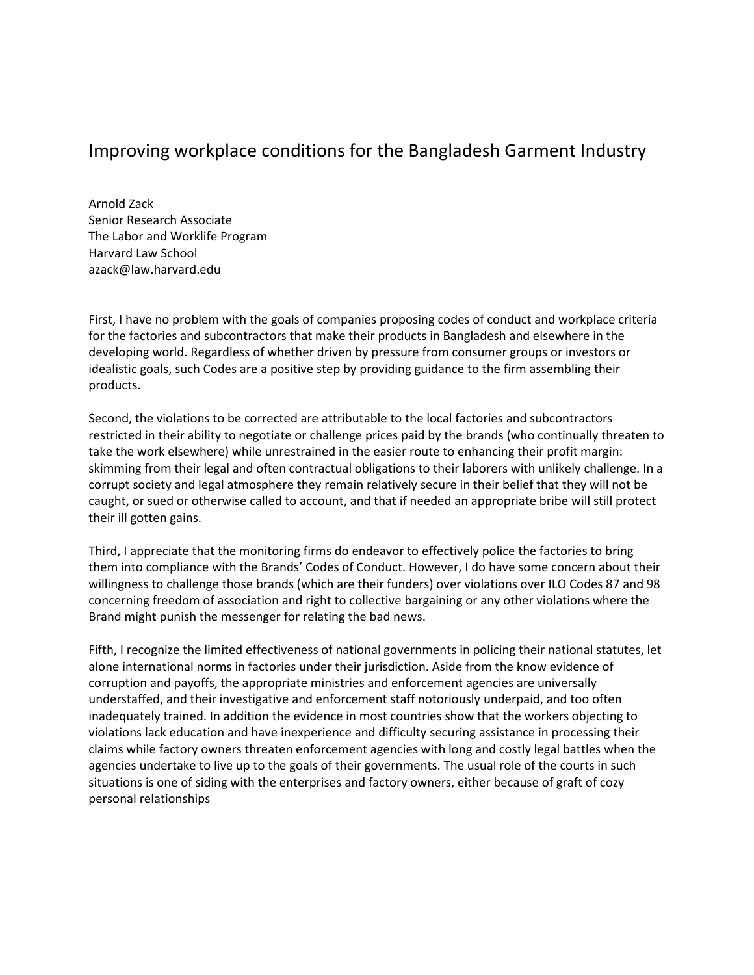## Improving workplace conditions for the Bangladesh Garment Industry

Arnold Zack Senior Research Associate The Labor and Worklife Program Harvard Law School azack@law.harvard.edu

First, I have no problem with the goals of companies proposing codes of conduct and workplace criteria for the factories and subcontractors that make their products in Bangladesh and elsewhere in the developing world. Regardless of whether driven by pressure from consumer groups or investors or idealistic goals, such Codes are a positive step by providing guidance to the firm assembling their products.

Second, the violations to be corrected are attributable to the local factories and subcontractors restricted in their ability to negotiate or challenge prices paid by the brands (who continually threaten to take the work elsewhere) while unrestrained in the easier route to enhancing their profit margin: skimming from their legal and often contractual obligations to their laborers with unlikely challenge. In a corrupt society and legal atmosphere they remain relatively secure in their belief that they will not be caught, or sued or otherwise called to account, and that if needed an appropriate bribe will still protect their ill gotten gains.

Third, I appreciate that the monitoring firms do endeavor to effectively police the factories to bring them into compliance with the Brands' Codes of Conduct. However, I do have some concern about their willingness to challenge those brands (which are their funders) over violations over ILO Codes 87 and 98 concerning freedom of association and right to collective bargaining or any other violations where the Brand might punish the messenger for relating the bad news.

Fifth, I recognize the limited effectiveness of national governments in policing their national statutes, let alone international norms in factories under their jurisdiction. Aside from the know evidence of corruption and payoffs, the appropriate ministries and enforcement agencies are universally understaffed, and their investigative and enforcement staff notoriously underpaid, and too often inadequately trained. In addition the evidence in most countries show that the workers objecting to violations lack education and have inexperience and difficulty securing assistance in processing their claims while factory owners threaten enforcement agencies with long and costly legal battles when the agencies undertake to live up to the goals of their governments. The usual role of the courts in such situations is one of siding with the enterprises and factory owners, either because of graft of cozy personal relationships